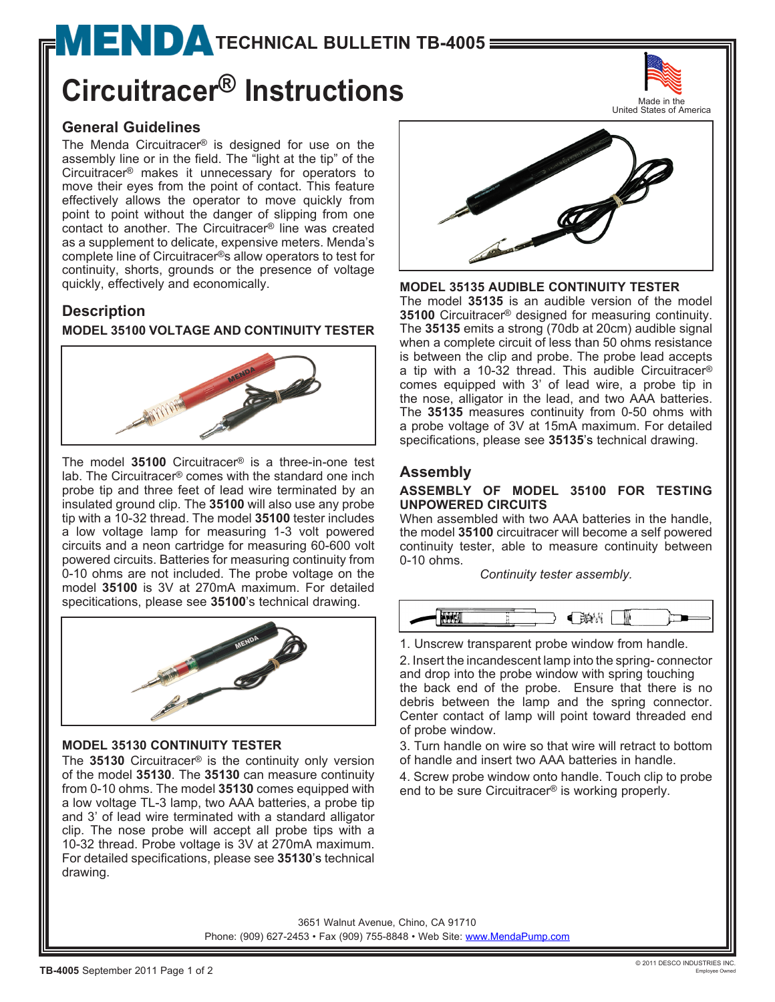# $MENDI$  [T](http://www.mendapump.com)ECHNICAL BULLETIN TB-4005

## **Circuitracer® Instructions**

#### **General Guidelines**

The Menda Circuitracer® is designed for use on the assembly line or in the field. The "light at the tip" of the Circuitracer® makes it unnecessary for operators to move their eyes from the point of contact. This feature effectively allows the operator to move quickly from point to point without the danger of slipping from one contact to another. The Circuitracer® line was created as a supplement to delicate, expensive meters. Menda's complete line of Circuitracer®s allow operators to test for continuity, shorts, grounds or the presence of voltage quickly, effectively and economically.

#### **Description**

#### **MODEL 35100 VOLTAGE AND CONTINUITY TESTER**



The model **35100** Circuitracer® is a three-in-one test lab. The Circuitracer® comes with the standard one inch probe tip and three feet of lead wire terminated by an insulated ground clip. The **35100** will also use any probe tip with a 10-32 thread. The model **35100** tester includes a low voltage lamp for measuring 1-3 volt powered circuits and a neon cartridge for measuring 60-600 volt powered circuits. Batteries for measuring continuity from 0-10 ohms are not included. The probe voltage on the model **35100** is 3V at 270mA maximum. For detailed specitications, please see **35100**'s technical drawing.



#### **MODEL 35130 CONTINUITY TESTER**

The **35130** Circuitracer® is the continuity only version of the model **35130**. The **35130** can measure continuity from 0-10 ohms. The model **35130** comes equipped with a low voltage TL-3 lamp, two AAA batteries, a probe tip and 3' of lead wire terminated with a standard alligator clip. The nose probe will accept all probe tips with a 10-32 thread. Probe voltage is 3V at 270mA maximum. For detailed specifications, please see **35130**'s technical drawing.



**MODEL 35135 AUDIBLE CONTINUITY TESTER**

The model **35135** is an audible version of the model **35100** Circuitracer® designed for measuring continuity. The **35135** emits a strong (70db at 20cm) audible signal when a complete circuit of less than 50 ohms resistance is between the clip and probe. The probe lead accepts a tip with a 10-32 thread. This audible Circuitracer® comes equipped with 3' of lead wire, a probe tip in the nose, alligator in the lead, and two AAA batteries. The **35135** measures continuity from 0-50 ohms with a probe voltage of 3V at 15mA maximum. For detailed specifications, please see **35135**['s](http://documents.mendapump.com/pdf/35135.pdf) technical drawing.

#### **Assembly**

#### **ASSEMBLY OF MODEL 35100 FOR TESTING UNPOWERED CIRCUITS**

When assembled with two AAA batteries in the handle, the model **35100** circuitracer will become a self powered continuity tester, able to measure continuity between 0-10 ohms.

*Continuity tester assembly.*



1. Unscrew transparent probe window from handle.

2. Insert the incandescent lamp into the spring- connector and drop into the probe window with spring touching the back end of the probe. Ensure that there is no debris between the lamp and the spring connector. Center contact of lamp will point toward threaded end of probe window.

3. Turn handle on wire so that wire will retract to bottom of handle and insert two AAA batteries in handle.

4. Screw probe window onto handle. Touch clip to probe end to be sure Circuitracer® is working properly.

3651 Walnut Avenue, Chino, CA 91710 Phone: (909) 627-2453 • Fax (909) 755-8848 • Web Site: [www.MendaPump.com](http://www.mendapump.com)

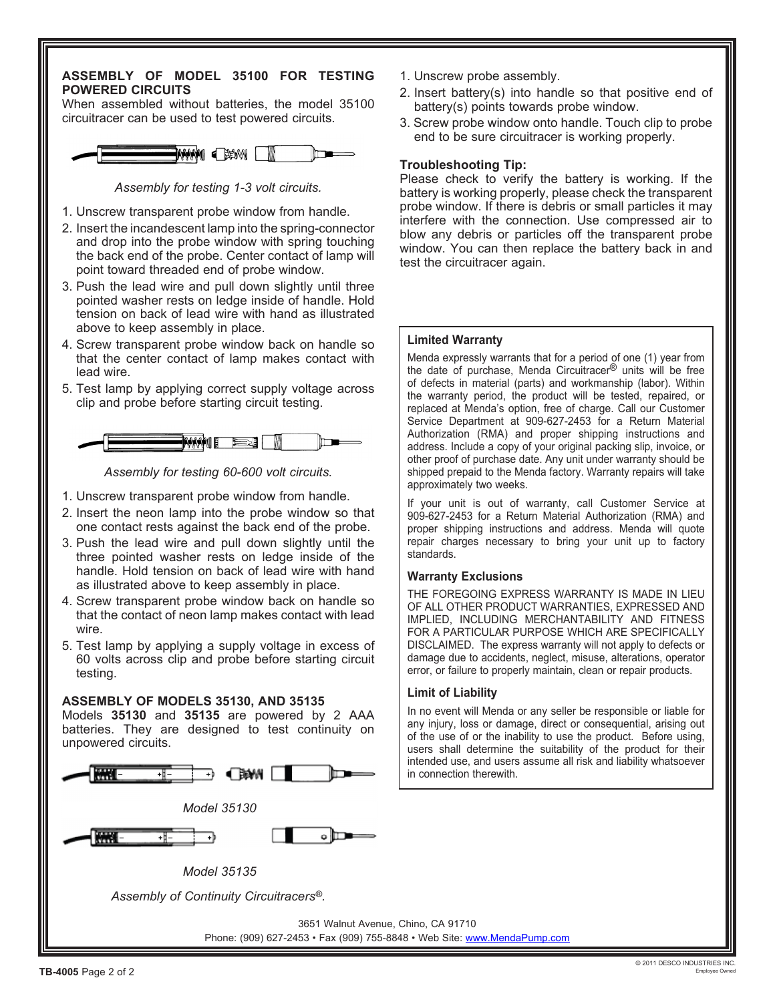#### **ASSEMBLY OF MODEL 35100 FOR TESTING POWERED CIRCUITS**

When assembled without batteries, the model 35100 circuitracer can be used to test powered circuits.



*Assembly for testing 1-3 volt circuits.*

- 1. Unscrew transparent probe window from handle.
- 2. Insert the incandescent lamp into the spring-connector and drop into the probe window with spring touching the back end of the probe. Center contact of lamp will point toward threaded end of probe window.
- 3. Push the lead wire and pull down slightly until three pointed washer rests on ledge inside of handle. Hold tension on back of lead wire with hand as illustrated above to keep assembly in place.
- 4. Screw transparent probe window back on handle so that the center contact of lamp makes contact with lead wire.
- 5. Test lamp by applying correct supply voltage across clip and probe before starting circuit testing.



*Assembly for testing 60-600 volt circuits.*

- 1. Unscrew transparent probe window from handle.
- 2. Insert the neon lamp into the probe window so that one contact rests against the back end of the probe.
- 3. Push the lead wire and pull down slightly until the three pointed washer rests on ledge inside of the handle. Hold tension on back of lead wire with hand as illustrated above to keep assembly in place.
- 4. Screw transparent probe window back on handle so that the contact of neon lamp makes contact with lead wire.
- 5. Test lamp by applying a supply voltage in excess of 60 volts across clip and probe before starting circuit testing.

#### **ASSEMBLY OF MODELS 35130, AND 35135**

Models **35130** and **35135** are powered by 2 AAA batteries. They are designed to test continuity on unpowered circuits.



- 1. Unscrew probe assembly.
- 2. Insert battery(s) into handle so that positive end of battery(s) points towards probe window.
- 3. Screw probe window onto handle. Touch clip to probe end to be sure circuitracer is working properly.

#### **Troubleshooting Tip:**

Please check to verify the battery is working. If the battery is working properly, please check the transparent probe window. If there is debris or small particles it may interfere with the connection. Use compressed air to blow any debris or particles off the transparent probe window. You can then replace the battery back in and test the circuitracer again.

#### **Limited Warranty**

Menda expressly warrants that for a period of one (1) year from the date of purchase, Menda Circuitracer® units will be free of defects in material (parts) and workmanship (labor). Within the warranty period, the product will be tested, repaired, or replaced at Menda's option, free of charge. Call our Customer Service Department at 909-627-2453 for a Return Material Authorization (RMA) and proper shipping instructions and address. Include a copy of your original packing slip, invoice, or other proof of purchase date. Any unit under warranty should be shipped prepaid to the Menda factory. Warranty repairs will take approximately two weeks.

If your unit is out of warranty, call Customer Service at 909-627-2453 for a Return Material Authorization (RMA) and proper shipping instructions and address. Menda will quote repair charges necessary to bring your unit up to factory standards.

#### **Warranty Exclusions**

THE FOREGOING EXPRESS WARRANTY IS MADE IN LIEU OF ALL OTHER PRODUCT WARRANTIES, EXPRESSED AND IMPLIED, INCLUDING MERCHANTABILITY AND FITNESS FOR A PARTICULAR PURPOSE WHICH ARE SPECIFICALLY DISCLAIMED. The express warranty will not apply to defects or damage due to accidents, neglect, misuse, alterations, operator error, or failure to properly maintain, clean or repair products.

#### **Limit of Liability**

In no event will Menda or any seller be responsible or liable for any injury, loss or damage, direct or consequential, arising out of the use of or the inability to use the product. Before using, users shall determine the suitability of the product for their intended use, and users assume all risk and liability whatsoever in connection therewith.

3651 Walnut Avenue, Chino, CA 91710 Phone: (909) 627-2453 • Fax (909) 755-8848 • Web Site: [www.MendaPump.com](http://www.mendapump.com)